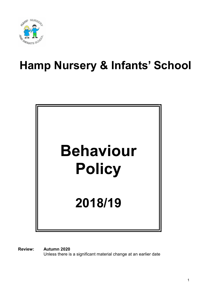

# Hamp Nursery & Infants' School



Review: Autumn 2020 Unless there is a significant material change at an earlier date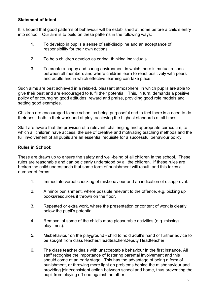## Statement of Intent

It is hoped that good patterns of behaviour will be established at home before a child's entry into school. Our aim is to build on these patterns in the following ways:

- 1. To develop in pupils a sense of self-discipline and an acceptance of responsibility for their own actions
- 2. To help children develop as caring, thinking individuals.
- 3. To create a happy and caring environment in which there is mutual respect between all members and where children learn to react positively with peers and adults and in which effective learning can take place.

Such aims are best achieved in a relaxed, pleasant atmosphere, in which pupils are able to give their best and are encouraged to fulfil their potential. This, in turn, demands a positive policy of encouraging good attitudes, reward and praise, providing good role models and setting good examples.

Children are encouraged to see school as being purposeful and to feel there is a need to do their best, both in their work and at play, achieving the highest standards at all times.

Staff are aware that the provision of a relevant, challenging and appropriate curriculum, to which all children have access, the use of creative and motivating teaching methods and the full involvement of all pupils are an essential requisite for a successful behaviour policy.

## Rules in School:

These are drawn up to ensure the safety and well-being of all children in the school. These rules are reasonable and can be clearly understood by all the children. If these rules are broken the child understands that some form of punishment will result, and this takes a number of forms:

- 1. Immediate verbal checking of misbehaviour and an indication of disapproval.
- 2. A minor punishment, where possible relevant to the offence, e.g. picking up books/resources if thrown on the floor.
- 3. Repeated or extra work, where the presentation or content of work is clearly below the pupil's potential.
- 4. Removal of some of the child's more pleasurable activities (e.g. missing playtimes).
- 5. Misbehaviour on the playground child to hold adult's hand or further advice to be sought from class teacher/Headteacher/Deputy Headteacher.
- 6. The class teacher deals with unacceptable behaviour in the first instance. All staff recognise the importance of fostering parental involvement and this should come at an early stage. This has the advantage of being a form of punishment, or throwing more light on problems behind the misbehaviour and providing joint/consistent action between school and home, thus preventing the pupil from playing off one against the other!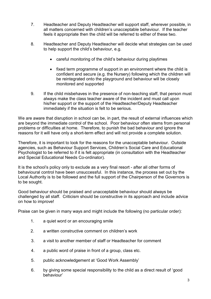- 7. Headteacher and Deputy Headteacher will support staff, wherever possible, in all matters concerned with children's unacceptable behaviour. If the teacher feels it appropriate then the child will be referred to either of these two.
- 8. Headteacher and Deputy Headteacher will decide what strategies can be used to help support the child's behaviour, e.g.
	- careful monitoring of the child's behaviour during playtimes
	- fixed term programme of support in an environment where the child is confident and secure (e.g. the Nursery) following which the children will be reintegrated onto the playground and behaviour will be closely monitored and supported
- 9. If the child misbehaves in the presence of non-teaching staff, that person must always make the class teacher aware of the incident and must call upon his/her support or the support of the Headteacher/Deputy Headteacher immediately if the situation is felt to be serious.

We are aware that disruption in school can be, in part, the result of external influences which are beyond the immediate control of the school. Poor behaviour often stems from personal problems or difficulties at home. Therefore, to punish the bad behaviour and ignore the reasons for it will have only a short-term effect and will not provide a complete solution.

Therefore, it is important to look for the reasons for the unacceptable behaviour. Outside agencies, such as Behaviour Support Services, Children's Social Care and Educational Psychologist to be referred to if it is felt appropriate (in consultation with the Headteacher and Special Educational Needs Co-ordinator).

It is the school's policy only to exclude as a very final resort - after all other forms of behavioural control have been unsuccessful. In this instance, the process set out by the Local Authority is to be followed and the full support of the Chairperson of the Governors is to be sought.

Good behaviour should be praised and unacceptable behaviour should always be challenged by all staff. Criticism should be constructive in its approach and include advice on how to improve!

Praise can be given in many ways and might include the following (no particular order):

- 1. a quiet word or an encouraging smile
- 2. a written constructive comment on children's work
- 3. a visit to another member of staff or Headteacher for comment
- 4. a public word of praise in front of a group, class etc.
- 5. public acknowledgement at 'Good Work Assembly'
- 6. by giving some special responsibility to the child as a direct result of 'good behaviour'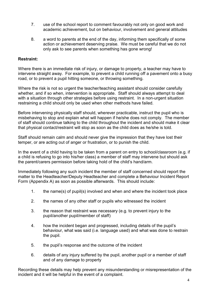- 7. use of the school report to comment favourably not only on good work and academic achievement, but on behaviour, involvement and general attitudes
- 8. a word to parents at the end of the day, informing them specifically of some action or achievement deserving praise. We must be careful that we do not only ask to see parents when something has gone wrong!

#### Restraint:

Where there is an immediate risk of injury, or damage to property, a teacher may have to intervene straight away. For example, to prevent a child running off a pavement onto a busy road, or to prevent a pupil hitting someone, or throwing something.

Where the risk is not so urgent the teacher/teaching assistant should consider carefully whether, and if so when, intervention is appropriate. Staff should always attempt to deal with a situation through other strategies before using restraint. In a non-urgent situation restraining a child should only be used when other methods have failed.

Before intervening physically staff should, wherever practicable, instruct the pupil who is misbehaving to stop and explain what will happen if he/she does not comply. The member of staff should continue talking to the child throughout the incident and should make it clear that physical contact/restraint will stop as soon as the child does as he/she is told.

Staff should remain calm and should never give the impression that they have lost their temper, or are acting out of anger or frustration, or to punish the child.

In the event of a child having to be taken from a parent on entry to school/classroom (e.g. if a child is refusing to go into his/her class) a member of staff may intervene but should ask the parent/carers permission before taking hold of the child's hand/arm.

Immediately following any such incident the member of staff concerned should report the matter to the Headteacher/Deputy Headteacher and complete a Behaviour Incident Report Form (Appendix A) as soon as possible afterwards. This should include:

- 1. the name(s) of pupil(s) involved and when and where the incident took place
- 2. the names of any other staff or pupils who witnessed the incident
- 3. the reason that restraint was necessary (e.g. to prevent injury to the pupil/another pupil/member of staff)
- 4. how the incident began and progressed, including details of the pupil's behaviour, what was said (i.e. language used) and what was done to restrain the pupil.
- 5. the pupil's response and the outcome of the incident
- 6. details of any injury suffered by the pupil, another pupil or a member of staff and of any damage to property

Recording these details may help prevent any misunderstanding or misrepresentation of the incident and it will be helpful in the event of a complaint.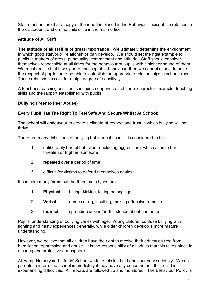Staff must ensure that a copy of the report is placed in the Behaviour Incident file retained in the classroom, and on the child's file in the main office.

# Attitude of All Staff:

The attitude of all staff is of great importance. We ultimately determine the environment in which good staff/pupil relationships can develop. We should set the right example to pupils in matters of dress, punctuality, commitment and attitude. Staff should consider themselves responsible at all times for the behaviour of pupils within sight or sound of them. We must realise that if we ignore unacceptable behaviour, then we cannot expect to have the respect of pupils, or to be able to establish the appropriate relationships in school/class. These relationships call for a high degree of sensitivity.

A teacher's/teaching assistant's influence depends on attitude, character, example, teaching skills and the rapport established with pupils.

#### Bullying (Peer to Peer Abuse)

## Every Pupil Has The Right To Feel Safe And Secure Whilst At School:

The school will endeavour to create a climate of respect and trust in which bullying will not thrive.

There are many definitions of bullying but in most cases it is considered to be:

- 1. deliberately hurtful behaviour (including aggression), which aims to hurt, threaten or frighten someone
- 2. repeated over a period of time
- 3. difficult for victims to defend themselves against

It can take many forms but the three main types are:

- 1. Physical: hitting, kicking, taking belongings
- 2. Verbal: name calling, insulting, making offensive remarks
- 3. Indirect: spreading unkind/hurtful stories about someone

Pupils' understanding of bullying varies with age. Young children confuse bullying with fighting and nasty experiences generally, while older children develop a more mature understanding.

However, we believe that all children have the right to receive their education free from humiliation, oppression and abuse. It is the responsibility of all adults that this takes place in a caring and protective atmosphere.

At Hamp Nursery and Infants' School we take this kind of behaviour very seriously. We ask parents to inform the school immediately if they have any concerns or if their child is experiencing difficulties. All reports are followed up and monitored. The Behaviour Policy is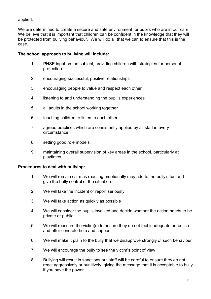applied.

We are determined to create a secure and safe environment for pupils who are in our care. We believe that it is important that children can be confident in the knowledge that they will be protected from bullying behaviour. We will do all that we can to ensure that this is the case.

# The school approach to bullying will include:

- 1. PHSE input on the subject, providing children with strategies for personal protection
- 2. encouraging successful, positive relationships
- 3. encouraging people to value and respect each other
- 4. listening to and understanding the pupil's experiences
- 5. all adults in the school working together
- 6. teaching children to listen to each other
- 7. agreed practices which are consistently applied by all staff in every circumstance
- 8. setting good role models
- 9. maintaining overall supervision of key areas in the school, particularly at playtimes

## Procedures to deal with bullying:

- 1. We will remain calm as reacting emotionally may add to the bully's fun and give the bully control of the situation
- 2. We will take the incident or report seriously
- 3. We will take action as quickly as possible
- 4. We will consider the pupils involved and decide whether the action needs to be private or public
- 5. We will reassure the victim(s) to ensure they do not feel inadequate or foolish and offer concrete help and support
- 6. We will make it plain to the bully that we disapprove strongly of such behaviour
- 7. We will encourage the bully to see the victim's point of view
- 8. Bullying will result in sanctions but staff will be careful to ensure they do not react aggressively or punitively, giving the message that it is acceptable to bully if you have the power